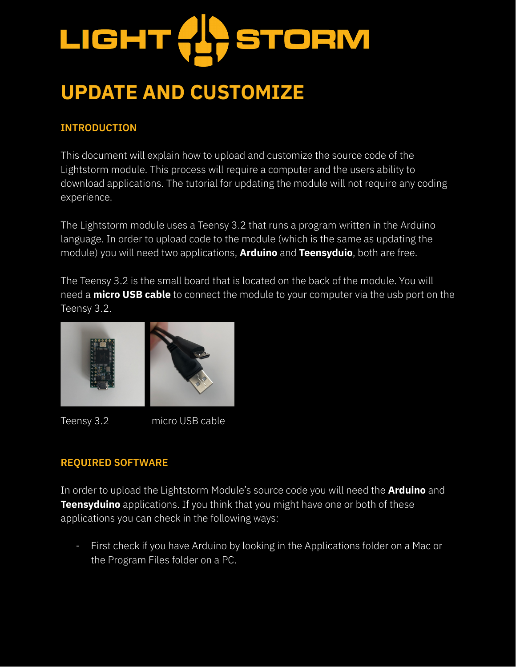# LIGHT **STORM**

## **UPDATE AND CUSTOMIZE**

#### **INTRODUCTION**

This document will explain how to upload and customize the source code of the Lightstorm module. This process will require a computer and the users ability to download applications. The tutorial for updating the module will not require any coding experience.

The Lightstorm module uses a Teensy 3.2 that runs a program written in the Arduino language. In order to upload code to the module (which is the same as updating the module) you will need two applications, **Arduino** and **Teensyduio**, both are free.

The Teensy 3.2 is the small board that is located on the back of the module. You will need a **micro USB cable** to connect the module to your computer via the usb port on the Teensy 3.2.



Teensy 3.2 micro USB cable

#### **REQUIRED SOFTWARE**

In order to upload the Lightstorm Module's source code you will need the **Arduino** and **Teensyduino** applications. If you think that you might have one or both of these applications you can check in the following ways:

- First check if you have Arduino by looking in the Applications folder on a Mac or the Program Files folder on a PC.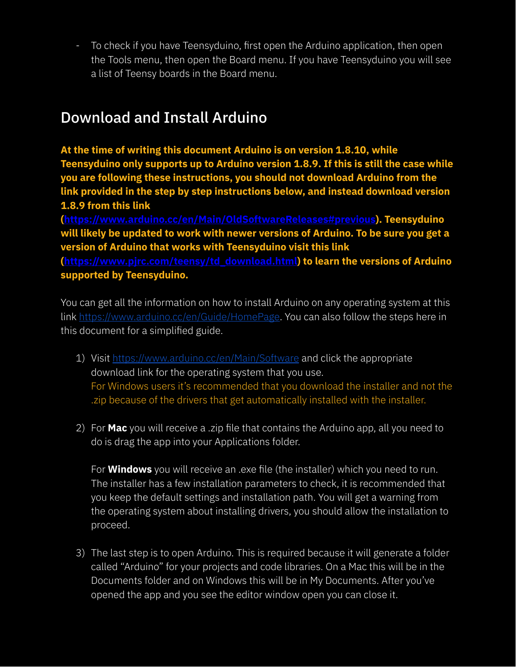- To check if you have Teensyduino, first open the Arduino application, then open the Tools menu, then open the Board menu. If you have Teensyduino you will see a list of Teensy boards in the Board menu.

### Download and Install Arduino

**At the time of writing this document Arduino is on version 1.8.10, while Teensyduino only supports up to Arduino version 1.8.9. If this is still the case while you are following these instructions, you should not download Arduino from the link provided in the step by step instructions below, and instead download version 1.8.9 from this link**

**(https://www.arduino.cc/en/Main/OldSoftwareReleases#previous). Teensyduino will likely be updated to work with newer versions of Arduino. To be sure you get a version of Arduino that works with Teensyduino visit this link**

**(https://www.pjrc.com/teensy/td\_download.html) to learn the versions of Arduino supported by Teensyduino.**

You can get all the information on how to install Arduino on any operating system at this link https://www.arduino.cc/en/Guide/HomePage. You can also follow the steps here in this document for a simplified guide.

- 1) Visit https://www.arduino.cc/en/Main/Software and click the appropriate download link for the operating system that you use. For Windows users it's recommended that you download the installer and not the .zip because of the drivers that get automatically installed with the installer.
- 2) For **Mac** you will receive a .zip file that contains the Arduino app, all you need to do is drag the app into your Applications folder.

For **Windows** you will receive an .exe file (the installer) which you need to run. The installer has a few installation parameters to check, it is recommended that you keep the default settings and installation path. You will get a warning from the operating system about installing drivers, you should allow the installation to proceed.

3) The last step is to open Arduino. This is required because it will generate a folder called "Arduino" for your projects and code libraries. On a Mac this will be in the Documents folder and on Windows this will be in My Documents. After you've opened the app and you see the editor window open you can close it.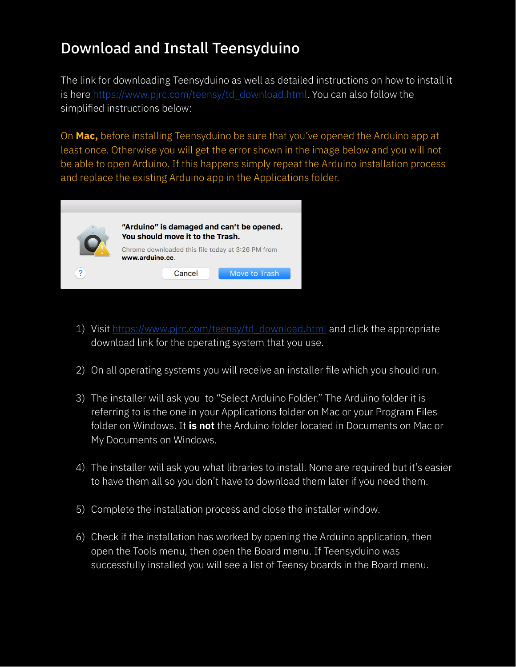### Download and Install Teensyduino

The link for downloading Teensyduino as well as detailed instructions on how to install it is here https://www.pjrc.com/teensy/td\_download.html. You can also follow the simplified instructions below:

On **Mac,** before installing Teensyduino be sure that you've opened the Arduino app at least once. Otherwise you will get the error shown in the image below and you will not be able to open Arduino. If this happens simply repeat the Arduino installation process and replace the existing Arduino app in the Applications folder.



- 1) Visit https://www.pjrc.com/teensy/td\_download.html and click the appropriate download link for the operating system that you use.
- 2) On all operating systems you will receive an installer file which you should run.
- 3) The installer will ask you to "Select Arduino Folder." The Arduino folder it is referring to is the one in your Applications folder on Mac or your Program Files folder on Windows. It **is not** the Arduino folder located in Documents on Mac or My Documents on Windows.
- 4) The installer will ask you what libraries to install. None are required but it's easier to have them all so you don't have to download them later if you need them.
- 5) Complete the installation process and close the installer window.
- 6) Check if the installation has worked by opening the Arduino application, then open the Tools menu, then open the Board menu. If Teensyduino was successfully installed you will see a list of Teensy boards in the Board menu.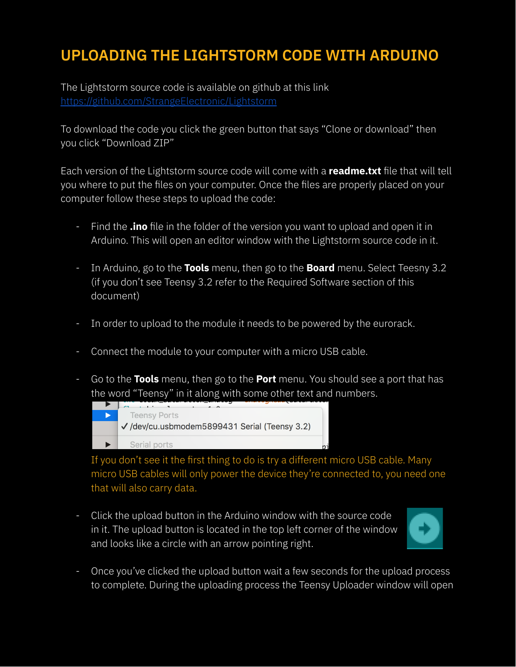## **UPLOADING THE LIGHTSTORM CODE WITH ARDUINO**

The Lightstorm source code is available on github at this link https://github.com/StrangeElectronic/Lightstorm

To download the code you click the green button that says "Clone or download" then you click "Download ZIP"

Each version of the Lightstorm source code will come with a **readme.txt** file that will tell you where to put the files on your computer. Once the files are properly placed on your computer follow these steps to upload the code:

- Find the **.ino** file in the folder of the version you want to upload and open it in Arduino. This will open an editor window with the Lightstorm source code in it.
- In Arduino, go to the **Tools** menu, then go to the **Board** menu. Select Teesny 3.2 (if you don't see Teensy 3.2 refer to the Required Software section of this document)
- In order to upload to the module it needs to be powered by the eurorack.
- Connect the module to your computer with a micro USB cable.
- Go to the **Tools** menu, then go to the **Port** menu. You should see a port that has the word "Teensy" in it along with some other text and numbers.



If you don't see it the first thing to do is try a different micro USB cable. Many micro USB cables will only power the device they're connected to, you need one that will also carry data.

- Click the upload button in the Arduino window with the source code in it. The upload button is located in the top left corner of the window and looks like a circle with an arrow pointing right.



- Once you've clicked the upload button wait a few seconds for the upload process to complete. During the uploading process the Teensy Uploader window will open